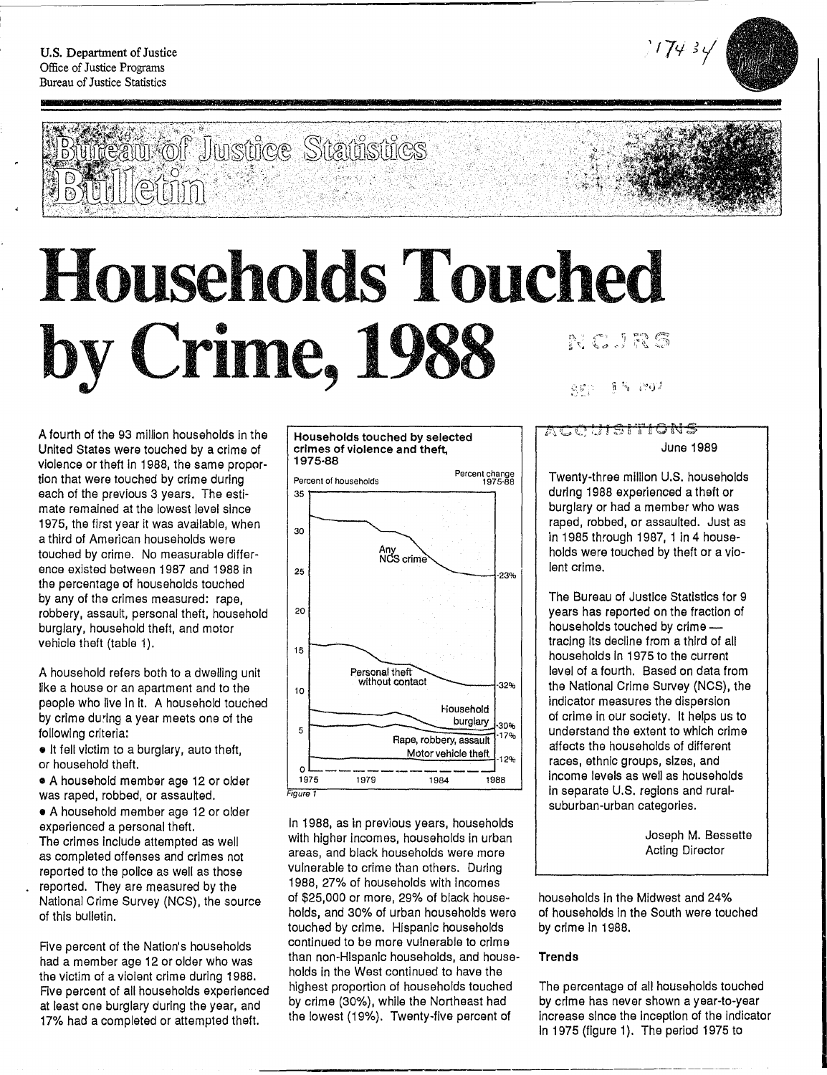

# **Households Touched by Crime, 1988**  <sup>~</sup>" ., '

eaw of Justice Statistics

A fourth of the 93 million households In the United States were touched by a crime of violence or theft In 1988, the same proportion that were touched by crime during each of the previous 3 years. The estimate remained at the lowest level since 1975, the first year it was available, when a third of American households were touched by crime. No measurable difference existed between 1987 and 1988 in the percentage of households touched by any of the crimes measured: rape, robbery, assault, personal theft, household burglary, household theft, and motor vehicle theft (table 1).

A household refers both to a dwelling unit like a house or an apartment and to the people who live in It. A household touched by crime during a year meets one of the following criteria:

• It fell victim to a burglary, auto theft, or household theft.

o A household member age 12 or older was raped, robbed, or assaulted.

• A household member age 12 or older experienced a personal theft.

The crimes include attempted as well as completed offenses and crimes not reported to the police as well as those reported. They are measured by the National Crime Survey (NCS), the source of this bulletin.

Five percent of the Nation's households had a member age 12 or older who was the victim of a violent crime during 1988. Five percent of all households experienced at least one burglary during the year, and 17% had a completed or attempted theft.

#### Households touched by selected crimes of violence and theft, 1975·88



In 1988, as in previous years, households with higher Incomes, households in urban areas, and black households were more vulnerable to crime than others. During 1988, 27% of households with Incomes of \$25,000 or more, 29% of black households, and 30% of urban households were touched by crime. Hispanic households continued to be more vulnerable to crime than non-Hispanic households, and households in the West continued to have the highest proportion of households touched by crime (30%), while the Northeast had the lowest (19%). Twenty-five percent of

# en 15 Poz<br>ACCUISITI<mark>ONS</mark>

June 1989

Twenty-three million U.S. households during 1988 experienced a theft or burglary or had a member who was raped, robbed, or assaulted. Just as in 1985 through 1987, 1 in 4 households were touched by theft or a violent crime.

The Bureau of Justice Statistics for 9 years has reported on the fraction of households touched by crime tracing its decline from a third of all households In 1975 to the current level of a fourth. Based on data from the National Crime Survey (NCS), the indicator measures the dispersion of crime in our society. It helps us to understand the extent to which crime affects the households of different races, ethnic groups, sizes, and Income levels as well as households in separate U.S. regions and ruralsuburban-urban categories.

> Joseph M. Bessette Acting Director

households In the Midwest and 24% of households In the South were touched by crime In 1988.

#### **Trends**

The percentage of all households touched by crime has never shown a year-to-year increase since the inception of the indicator In 1975 (figure 1). The period 1975 to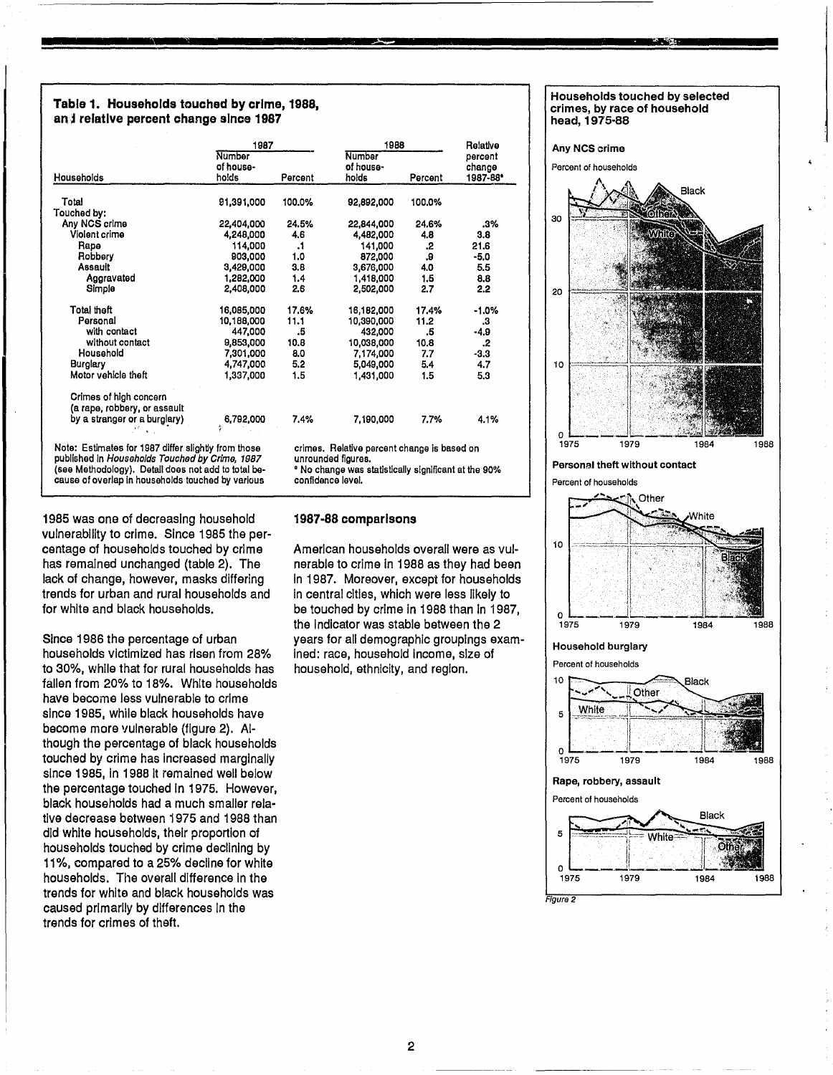#### Table 1. Households touched by crime, 1988, an J relative percent change since 1987

|                                                        | 1987                         |         | 1988                                        | Relative |                               |
|--------------------------------------------------------|------------------------------|---------|---------------------------------------------|----------|-------------------------------|
| <b>Households</b>                                      | Number<br>of house-<br>holds | Percent | <b>Number</b><br>of house-<br>holds         | Percent  | percent<br>change<br>1987-88* |
| Total                                                  | 91,391,000                   | 100.0%  | 92,892,000                                  | 100.0%   |                               |
| Touched by:                                            |                              |         |                                             |          |                               |
| Any NCS crime                                          | 22,404,000                   | 24.5%   | 22,844,000                                  | 24.6%    | .3%                           |
| Violent crime                                          | 4,248,000                    | 4.6     | 4,482,000                                   | 4.8      | 3.8                           |
| Rape                                                   | 114,000                      | $\cdot$ | 141,000                                     | 2.       | 21.6                          |
|                                                        |                              |         |                                             | 9.       |                               |
| Robbery<br>Assault                                     | 903,000                      | 1.0     | 872,000                                     |          | $-5.0$                        |
|                                                        | 3,429,000                    | 3.8     | 3,676,000                                   | 4.0      | 5.5                           |
| Aggravated                                             | 1,282,000                    | 1.4     | 1,418,000                                   | 1.5      | 8.8                           |
| Simple                                                 | 2,408,000                    | 2.6     | 2,502,000                                   | 2.7      | 2.2                           |
| Total theft                                            | 16,085,000                   | 17.6%   | 16,182,000                                  | 17.4%    | $-1.0\%$                      |
| Personal                                               | 10,188,000                   | 11.1    | 10,390,000                                  | 11.2     | .3                            |
| with contact                                           | 447,000                      | .5      | 432,000                                     | .5       | -4.9                          |
| without contact                                        | 9,853,000                    | 10.8    | 10,038,000                                  | 10.8     | .2                            |
| Household                                              | 7,301,000                    | 8.0     | 7,174,000                                   | 7.7      | $-3.3$                        |
| Burglary                                               | 4,747,000                    | 5,2     | 5,049,000                                   | 5.4      | 4.7                           |
| Motor vehicle theft                                    | 1,337,000                    | 1.5     | 1,431,000                                   | 1.5      | 5,3                           |
| Crimes of high concern<br>(a rape, robbery, or assault |                              |         |                                             |          |                               |
| by a stranger or a burglary)                           | 6,792,000<br>ă,              | 7.4%    | 7,190,000                                   | $7.7\%$  | 4.1%                          |
| Note: Estimates for 1987 differ slightly from those    |                              |         | crimes. Relative percent change is based on |          |                               |

Note: Estimates for 1987 differ sllghtiy from those published In Households Touched *by* Crime, 1981 (see Methodology). Detail does not add to total because of overlap in households touched by various

1985 was one of decreasing household vulnerability to crime. Since 1985 the percentage of households touched by crime has remained unchanged (table 2). The lack of change, however, masks differing trends for urban and rural households and for white and black households.

Since 1986 the percentage of urban households victimized has risen from 28% to 30%, while that for rural households has fallen from 20% to 18%. White households have become less vulnerable to crime since 1985, while black households have become more VUlnerable (figure 2). Although the percentage of black households touched by crime has Increased marginally since 1985, In 1988 It remained well below the percentage touched In 1975. However, black households had a much smaller relative decrease between i 975 and 1988 than did white households, their proportion of households touched by crime declining by 11%, compared to a 25% decline for white households. The overall difference In the trends for white and black households was caused primarily by differences In the trends for crimes of theft.

#### 1987-88 comparisons

unrounded figures.

confidence level.

American households overall were as VUlnerable to crime In 1988 as they had been In 1987. Moreover, except for households In central cities, which were less likely to be touched by crime In 1988 than In 1987, the Indicator was stable between the 2 years for all demographic groupings exam-Ined: race, household Income, size of household, ethnlcity, and region.

• No change was statistically significant at the 90%

#### Households touched by selected crimes, by race of household head, 1975·88

#### Any NCS crime

Percent of households

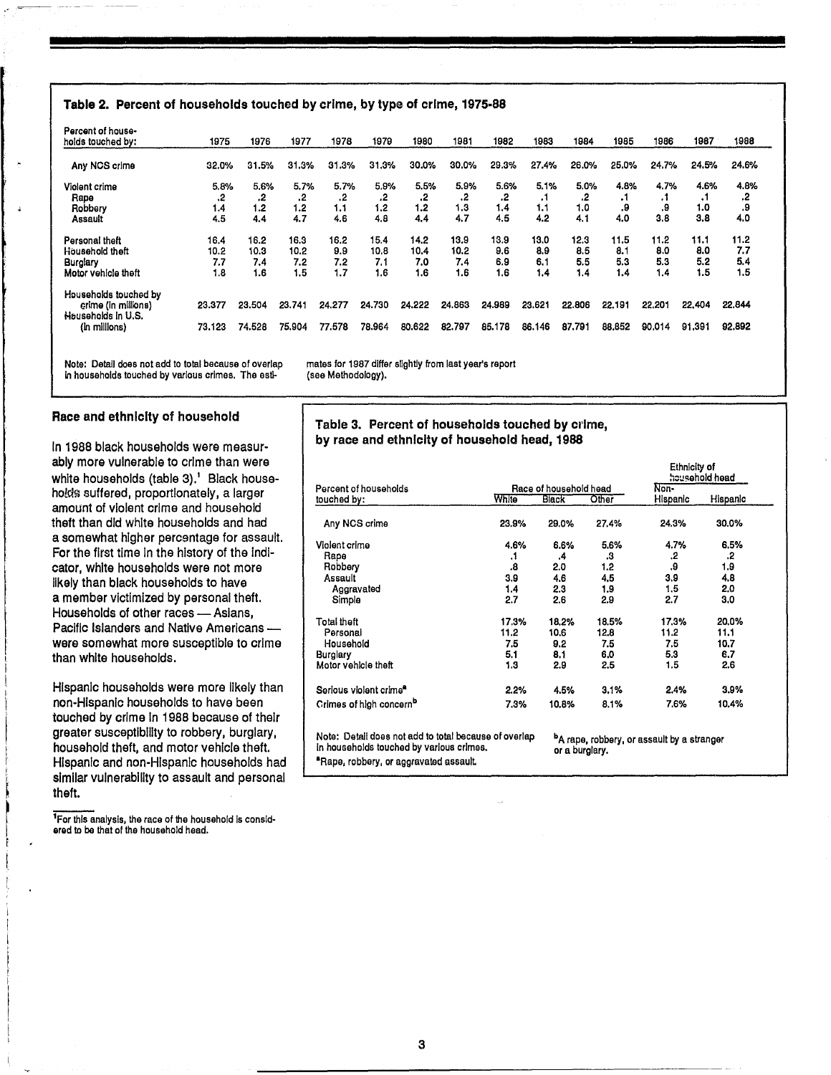#### Table 2. Percent of households touched by crime, by type of crime, 1975·88

| Percent of house-<br>holds touched by:    | 1975   | 1976   | 1977            | 1978   | 1979   | 1980   | 1981   | 1982   | 1983      | 1984   | 1985      | 1986   | 1987   | 1988   |
|-------------------------------------------|--------|--------|-----------------|--------|--------|--------|--------|--------|-----------|--------|-----------|--------|--------|--------|
| Any NCS crime                             | 32.0%  | 31.5%  | 31.3%           | 31.3%  | 31.3%  | 30.0%  | 30.0%  | 29.3%  | 27.4%     | 26.0%  | 25.0%     | 24.7%  | 24.5%  | 24.6%  |
| Violent crime                             | 5.8%   | 5.6%   | 5.7%            | 5.7%   | 5.9%   | 5.5%   | 5.9%   | 5.6%   | 5.1%      | 5.0%   | 4.8%      | 4.7%   | 4.6%   | 4.8%   |
| Rape                                      | .2     | .2     | $\cdot$         | .2     | .2     | .2     | .2     | .2     | $\cdot$ , | .2     | $\cdot$ 1 | . .    | ۰1     | .2     |
| Robbery                                   | 1.4    | 1.2    | 1.2             | 1.1    | 1.2    | 1.2    | 1.3    | 1.4    | 1.1       | 1.0    | 9.        | 9.     | 1.0    | .9     |
| Assault                                   | 4.5    | 4.4    | 4.7             | 4.6    | 4.8    | 4.4    | 4.7    | 4.5    | 4.2       | 4.1    | 4.0       | 3.8    | 3.8    | 4.0    |
| Personal theft                            | 16.4   | 16.2   | 16.3            | 16.2   | 15.4   | 14.2   | 13.9   | 13.9   | 13.0      | 12.3   | 11.5      | 11.2   | 11.1   | 11.2   |
| Household theft                           | 10.2   | 10.3   | 10.2            | 9.9    | 10.8   | 10.4   | 10.2   | 9.6    | 8.9       | 8.5    | 8.1       | 8.0    | 8.0    | 7.7    |
| Burglary                                  | 7.7    | 7.4    | 7.2             | 7.2    | 7.1    | 7.0    | 7.4    | 6.9    | 6.1       | 5.5    | 5.3       | 5.3    | 5.2    | 5.4    |
| Motor vehicle theft                       | 1.8    | 1.6    | .5 <sub>1</sub> | 1.7    | 1.6    | 1.6    | 1.6    | 1.6    | 1.4       | 1.4    | 1.4       | 1.4    | 1.5    | 1.5    |
| Households touched by                     |        |        |                 |        |        |        |        |        |           |        |           |        |        |        |
| crime (in millions)<br>Households in U.S. | 23.377 | 23.504 | 23.741          | 24.277 | 24.730 | 24.222 | 24.863 | 24.989 | 23.621    | 22,806 | 22.191    | 22.201 | 22,404 | 22.844 |
| (in millions)                             | 73.123 | 74.528 | 75.904          | 77.578 | 78.964 | 80.622 | 82,797 | 85.178 | 86.146    | 87,791 | 88.852    | 90.014 | 91.391 | 92.892 |

Note: Detail does not add to total because of overlap mates for 1987 differ slightly from last year's report<br>in households touched by various crimes. The esti- (see Methodology). In households touched by various crimes. The esti-

In 1988 black households were measur- | by race and ethnicity of household head, 1988 ably more vulnerable to crime than were  $\qquad \qquad \blacksquare$ white households (table  $3$ ).<sup>1</sup> Black households suffered, proportionately, a larger amount of violent crime and household theft than did white households and had a somewhat higher percentage for assault.<br>For the first time in the history of the indicator, white households were not more likely than black households to have a member victimized by personal theft.<br>Households of other races - Asians. Pacific Islanders and Native Americans were somewhat more susceptible to crime than white households.

Hispanic households were more likely than non-Hispanic households to have been touched by crime in 1988 because of their<br>greater susceptibility to robbery, burglary, household theft, and motor vehicle theft. Hispanic and non-Hispanic households had similar vulnerability to assault and personal theft.

Race and ethnicity of household Table 3. Percent of households touched by crime,

|                                                                                                                                             |                |                        |                                            | councity of<br>household head |          |  |  |
|---------------------------------------------------------------------------------------------------------------------------------------------|----------------|------------------------|--------------------------------------------|-------------------------------|----------|--|--|
| Percent of households                                                                                                                       |                | Race of household head |                                            | Non-                          |          |  |  |
| touched by:                                                                                                                                 | White          | <b>Black</b>           | Other                                      | Hispanic                      | Hispanic |  |  |
| Any NCS crime                                                                                                                               | 23.9%          | 29.0%                  | 27.4%                                      | 24.3%                         | 30.0%    |  |  |
| Violent crime                                                                                                                               | 4.6%           | 6.6%                   | 5.6%                                       | 4.7%                          | 6.5%     |  |  |
| Rape                                                                                                                                        | $\cdot$ 1      | .4                     | .3                                         | 2.                            | .2       |  |  |
| Robbery                                                                                                                                     | 8.             | 2.0                    | 1.2                                        | .9                            | 1.9      |  |  |
| Assault                                                                                                                                     | 3.9            | 4.6                    | 4.5                                        | 3.9                           | 4.8      |  |  |
| Aggravated                                                                                                                                  | 1.4            | 2.3                    | 1.9                                        | 1.5                           | 2.0      |  |  |
| Simple                                                                                                                                      | 2.7            | 2.6                    | 2.9                                        | 2.7                           | 3.0      |  |  |
| Total theft                                                                                                                                 | 17.3%          | 18.2%                  | 18.5%                                      | 17.3%                         | 20.0%    |  |  |
| Personal                                                                                                                                    | 11.2           | 10.6                   | 12.8                                       | 11.2                          | 11.1     |  |  |
| Household                                                                                                                                   | 7.5            | 9.2                    | 7.5                                        | 7.5                           | 10.7     |  |  |
| <b>Burglary</b>                                                                                                                             | 5.1            | 8,1                    | 6.0                                        | 5.3                           | 6.7      |  |  |
| Motor vehicle theft                                                                                                                         | 1.3            | 2.9                    | 2.5                                        | 1.5                           | 2.6      |  |  |
| Serious violent crime <sup>a</sup>                                                                                                          | $2.2\%$        | 4.5%                   | 3.1%                                       | 2.4%                          | 3.9%     |  |  |
| Crimes of high concern <sup>b</sup>                                                                                                         | 7.3%           | 10.8%                  | 8.1%                                       | 7.6%                          | 10.4%    |  |  |
| Note: Detail does not add to total because of overlap<br>in households touched by various crimes.<br>"Rape, robbery, or aggravated assault. | or a burglary. |                        | "A rape, robbery, or assault by a stranger |                               |          |  |  |

<sup>1</sup>For this analysis, the race of the household is considered to be that of the household head.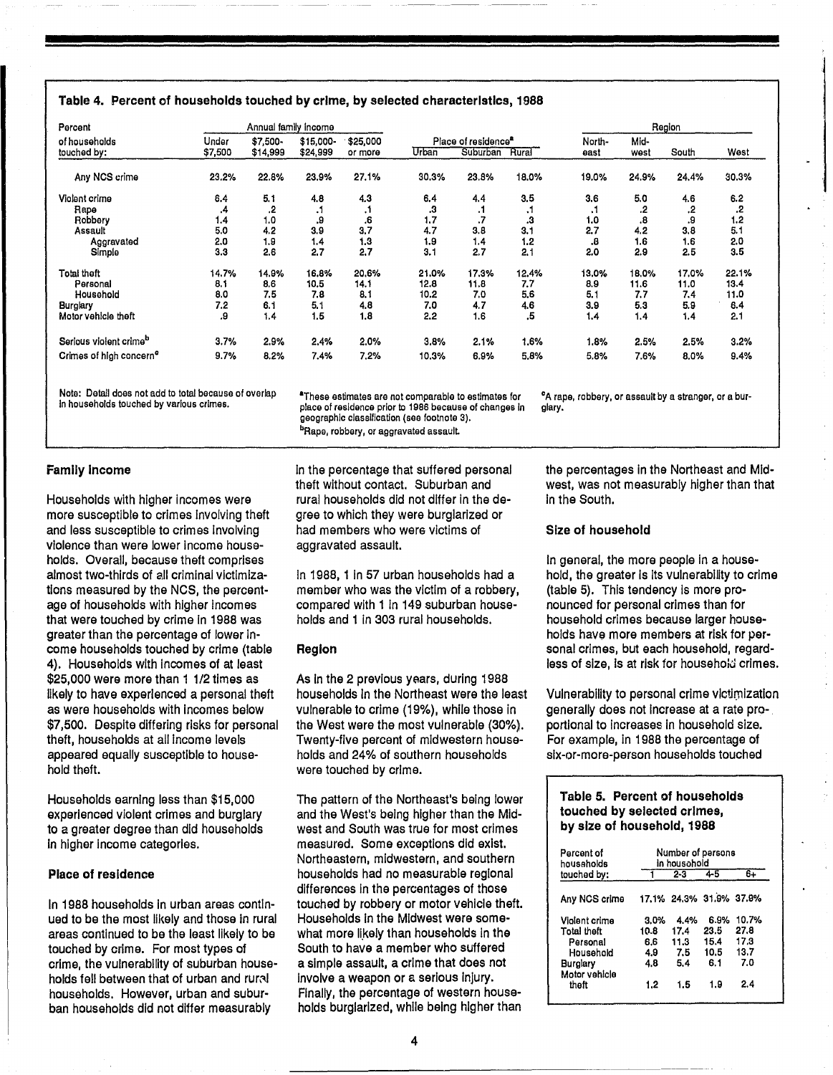#### Table 4. Percent of households touched by crime, by selected characteristics, 1988

| Percent                             |         | Annual family income |           |          |       |                                 |           |           |       | Region |       |
|-------------------------------------|---------|----------------------|-----------|----------|-------|---------------------------------|-----------|-----------|-------|--------|-------|
| of households                       | Under   | $$7,500-$            | \$15,000- | \$25,000 |       | Place of residence <sup>a</sup> |           | North-    | Mid-  |        |       |
| touched by:                         | \$7,500 | \$14,999             | \$24,999  | or more  | Urban | <b>Suburban</b>                 | Rural     | east      | west  | South  | West  |
| Any NCS crime                       | 23.2%   | 22.8%                | 23.9%     | 27.1%    | 30.3% | 23.8%                           | 18.0%     | 19.0%     | 24.9% | 24.4%  | 30.3% |
| Violent crime                       | 6.4     | 5.1                  | 4.8       | 4.3      | 6.4   | 4.4                             | 3.5       | 3.6       | 5.0   | 4.6    | 6.2   |
| Rape                                | .4      | .2                   | . .       | ٦.       | .3    | ٦.                              | $\cdot$ . | $\cdot$ . | .2    | .2     | .2    |
| Robbery                             | 1.4     | 1.0                  | .9        | .6       | 1,7   | $\cdot$                         | .3        | 1.0       | .8    | .9     | 1.2   |
| Assault                             | 5.0     | 4.2                  | 3.9       | 3.7      | 4.7   | 3.8                             | 3.1       | 2.7       | 4.2   | 3.8    | 5.1   |
| Aggravated                          | 2.0     | 1.9                  | 1.4       | 1.3      | 1.9   | 1.4                             | 1,2       | .8        | 1.6   | 1.6    | 2.0   |
| Simple                              | 3.3     | 2.6                  | 2,7       | 2.7      | 3.1   | 2.7                             | 2.1       | 2.0       | 2.9   | 2.5    | 3.5   |
| Total theft                         | 14.7%   | 14.9%                | 16.8%     | 20.6%    | 21.0% | 17.3%                           | 12.4%     | 13.0%     | 18.0% | 17.0%  | 22.1% |
| Personal                            | 8,1     | 8.6                  | 10.5      | 14.1     | 12.8  | 11.8                            | 7.7       | 8.9       | 11.6  | 11.0   | 13.4  |
| Household                           | 8.0     | 7.5                  | 7.8       | 8.1      | 10.2  | 7.0                             | 5.6       | 5.1       | 7.7   | 7.4    | 11.0  |
| <b>Burglary</b>                     | 7.2     | 6.1                  | 5.1       | 4.8      | 7.0   | 4.7                             | 4.6       | 3.9       | 5.3   | 5.9    | 6.4   |
| Motor vehicle theft                 | 9.      | 1.4                  | 1.5       | 1.8      | 2.2   | 1.6                             | .5        | 1.4       | 1.4   | 1.4    | 2.1   |
| Serious violent crime <sup>b</sup>  | 3.7%    | 2.9%                 | 2.4%      | $2.0\%$  | 3.8%  | 2.1%                            | 1.6%      | 1.8%      | 2.5%  | 2.5%   | 3.2%  |
| Crimes of high concern <sup>e</sup> | 9.7%    | 8.2%                 | 7.4%      | 7.2%     | 10.3% | 6.9%                            | 5.8%      | 5.8%      | 7.6%  | 8.0%   | 9.4%  |

Note: Detail does not add to total because of overlap In households touched by various crimes.

"These estimates are not comparable to estimates for place of residence prior to 1986 because of changes In geographic classification (see footnote 3). bRape, robbery, or aggravated assault

CA rape, robbery, or assault by a stranger, or a bUrglary.

#### Family Income

Households with higher Incomes were more susceptible to crimes Involving theft and less susceptible to crimes Involving violence than were lower income households. Overall, because theft comprises almost two-thirds of all criminal victimizations measured by the NCS, the percentage of households with higher Incomes that were touched by crime In 1988 was greater than the percentage of lower Income households touched by crime (table 4). Households with Incomes of at least \$25,000 were more than 1 1/2 times as likely to have experienced a personal theft as were households with Incomes below \$7,500. Despite differing risks for personal theft, households at all Income levels appeared equally susceptible to household theft.

Households earning less than \$15,000 experienced violent crimes and burglary to a greater degree than did households In higher Income categories.

#### Place of residence

In 1988 households In urban areas continued to be the most likely and those in rural areas continued to be the least likely to be touched by crime. For most types of crime, the vulnerability of suburban households fell between that of urban and rural households. However, urban and suburban households did not differ measurably

In the percentage that suffered personal theft without contact. Suburban and rural households did not differ In the degree to which they were burglarized or had members who wers victims of aggravated assault.

In 1988, 1 In 57 urban households had a member who was the victim of a robbery, compared with 1 In 149 suburban households and 1 in 303 rural households.

#### Region

As in the 2 previous years, during 1988 households In the Northeast were the leasit vulnerable to crime (19%), while those in the West were the most vulnerable (30%). Twenty-five percent of midwestern households and 24% of southern households were touched by crime.

The pattern of the Northeast's being lower and the West's being higher than the Midwest and South was true for most crimes measured. Some exceptions did exist. Northeastern, midwestern, and southern households had no measurable regional differences In the percentages of those touched by robbery or motor vehicle theft. Households In the Midwest were somewhat more likely than households in the South to have a member who suffered a simple assault, a crime that does not Involve a weapon or a serious Injury. Finally, the percentage of western households burglarized, while being higher than

the percentages in the Northeast and Midwest, was not measurably higher than that In the South.

#### Size of household

In general, the more people In a household, the greater is its vulnerability to crime (table 5). This tendency Is more pronounced for personal crimes than for household crimes because larger households have more members at risk for personal crimes, but each household, regardless of size, Is at risk tor household crimes.

Vulnerability to personal crime victimization generally does not Increase at a rate proportional to Increases In household size. For example, In 1988 the percentage of slx-or-more-person households touched

#### Table 5. Percent of households touched by selected crimes, by size of household, 1988

| Parcent of<br>housaholds                                                                    | Number of parsons<br>in housahold           |                                           |                                            |                                             |  |  |  |  |
|---------------------------------------------------------------------------------------------|---------------------------------------------|-------------------------------------------|--------------------------------------------|---------------------------------------------|--|--|--|--|
| touched by:                                                                                 |                                             | $2 - 3$                                   | 4-5                                        | 64                                          |  |  |  |  |
| Any NCS crime                                                                               |                                             | 17.1% 24.3% 31.9% 37.9%                   |                                            |                                             |  |  |  |  |
| Violent crime<br>Total theft<br>Personal<br>Household<br>Burglary<br>Motor vehicle<br>theft | $3.0\%$<br>10.8<br>6.6<br>4.9<br>4.8<br>1.2 | 4.4%<br>17.4<br>11.3<br>7.5<br>5.4<br>1.5 | 6.9%<br>23.5<br>15.4<br>10.5<br>6.1<br>1.9 | 10.7%<br>27.8<br>17.3<br>13.7<br>7.0<br>2.4 |  |  |  |  |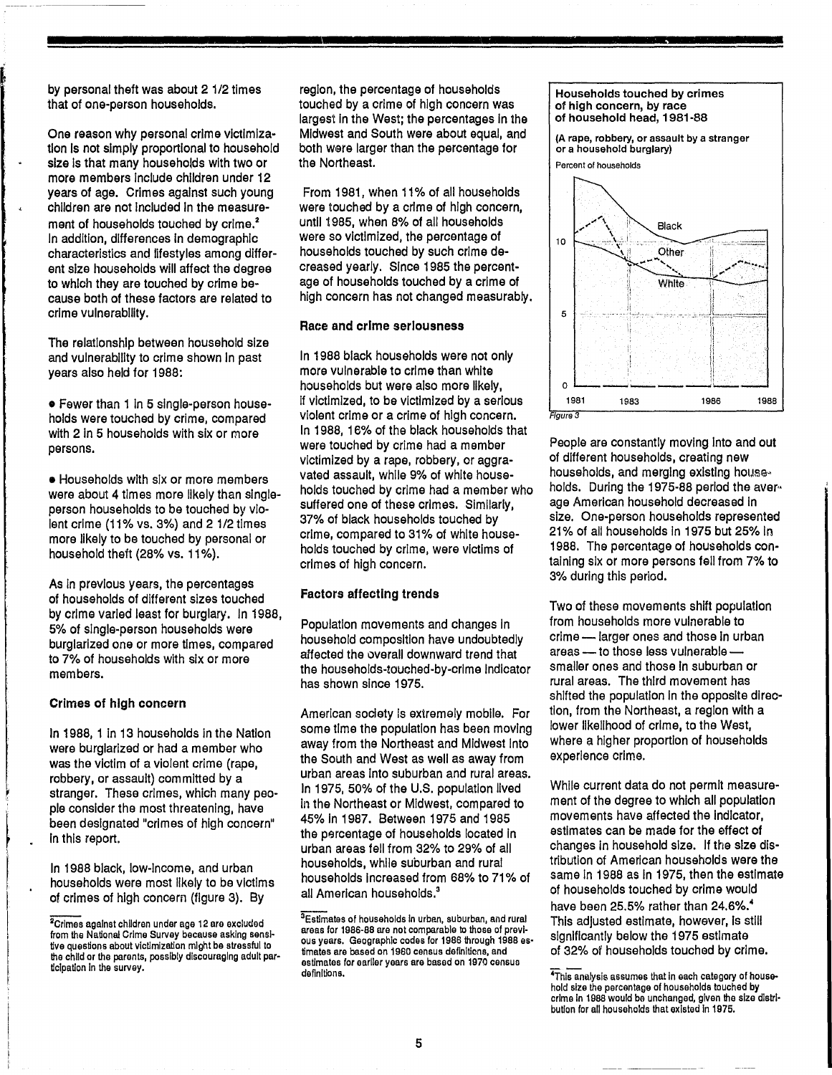by personal theft was about 2 1/2 times that of one-person households.

One reason why personal crime victimization Is not simply proportional to household size is that many households with two or more members Include children under 12 years of age. Crimes against such young children are not Included In the measurement of households touched by crime.<sup>2</sup> In addition. differences In demographic characteristics and lifestyles among different size households will affect the degree to which they are touched by crime because both of these factors are related to crime vulnerability.

The relationship between household size and vulnerability to crime shown In past years also held for 1988:

• Fewer than 1 In 5 single-person households were touched by crime. compared with 2 in 5 households with six or more persons.

• Households with six or more members were about 4 times more likely than singleperson households to be touched by violent crime  $(11\%$  vs.  $3\%)$  and  $2\frac{1}{2}$  times more likely to be touched by personal or household theft (28% vs. 11%).

As In previous years. the percentages of households of different sizes touched by crime varied least for burglary. In 1988. 5% of single-person households were burglarized one or more times. compared to 7% of households with six or more members.

#### Crimes of high concern

'~

 $\Big\}$ 

 $\vert$ I I

In 1988. 1 In 13 households In the Nation were burglarized or had a member who was the victim of a violent crime (rape. robbery. or assault) committed by a stranger. These crimes. which many people consider the most threatening. have been designated "crimes of high concern" In this report.

In 1988 black. low-Income. and urban households were most likely to be victims of crimes of high concern (figure 3). By

region, the percentage of households touched by a crime of high concern was largest in the West; the percentages In the Midwest and South were about equal. and both were larger than the percentage for the Northeast.

From 1981. when 11% of all households were touched by a crime of high concern. until 1985. when 8% of all households were so victimized. the percentage of households touched by such crime decreased yearly. Since 1985 the percentage of households touched by a crime of high concern has not changed measurably.

#### Race and crime seriousness

In 1988 black households were not only more vulnerable to crime than white households but were also more likely, If victimized, to be victimized by a serious violent crime or a crime of high concern. In 1988. 16% of the black households that were touched by crime had a member victimized by a rape. robbery, or aggravated assault. while 9% of white households touched by crime had a member who suffered one of these crimes. Similarly. 37% of black households touched by crime, compared to 31% of white households touched by crime. were victims of crimes of high concern.

#### Factors affecting trends

Population movements and changes In household composition have undoubtedly affected the overall downward trend that the households-touched-by-crlme Indicator has shown since 1975.

American society is extremely mobile. For some time the population has been moving away from the Northeast and Midwest Into the South and West as well as away from urban areas Into suburban and rural areas. In 1975. 50% of the U.S. population lived in the Northeast or Midwest, compared to 45% In 1987. Between 1975 and 1985 the percentage of households located In urban areas fell from 32% to 29% of all households. while suburban and rural households increased from 68% to 71% of all American households.<sup>3</sup>

#### Households touched by crimes of high concern, by race of household head, 1981-88

(A rape, robbery. or assault by a stranger or a household burglary)

Percent of households



People are constantly moving Into and out of different households, creating new households, and merging existing households. During the 1975-88 period the aver ... age American household decreased In size. One-person households represented 21 % of all households In 1975 but 25% In 1988. The percentage of households containing six or more persons fell from 7% to 3% during this period.

Two of these movements shift population from households more vulnerable to crime - larger ones and those in urban  $area$  - to those less vulnerable smaller ones and those In suburban or rural areas. The third movement has shifted the population In the opposite direction. from the Northeast. a region with a lower likelihood of crime, to the West, where a higher proportion of households experience crime.

While current data do not permit measurement of the degree to which all population movements have affected the Indicator, estimates can be made for the effect of changes In household size. If the size distribution of American households were the same in 1988 as in 1975, then the estimate of households touched by crime would have been 25.5% rather than 24.6%.<sup>4</sup> This adjusted estimate, however. Is stili significantly below the 1975 estimate of 32% of households touched by crime.

<sup>2</sup>Crlmes against children under age 12 are excluded from the National Crime Survey because asking sensitive questions about victimization might be stressful to the child or the parents, possibly discouraging adult participation In the survey.

<sup>&</sup>lt;sup>3</sup>Estimates of households in urban, suburban, and rural areas for 1986-88 are not comparable to those of previous years. Geographic codes for 1985 through 1988 estimates are based on 1980 census definitions, and estimates for earlier years are based on 1970 census definitions.

<sup>&</sup>lt;sup>4</sup>This analysis assumes that in each category of household size the percentage of households touched by crime In 1988 would be unchanged, given the size distribution for all households that existed In 1975.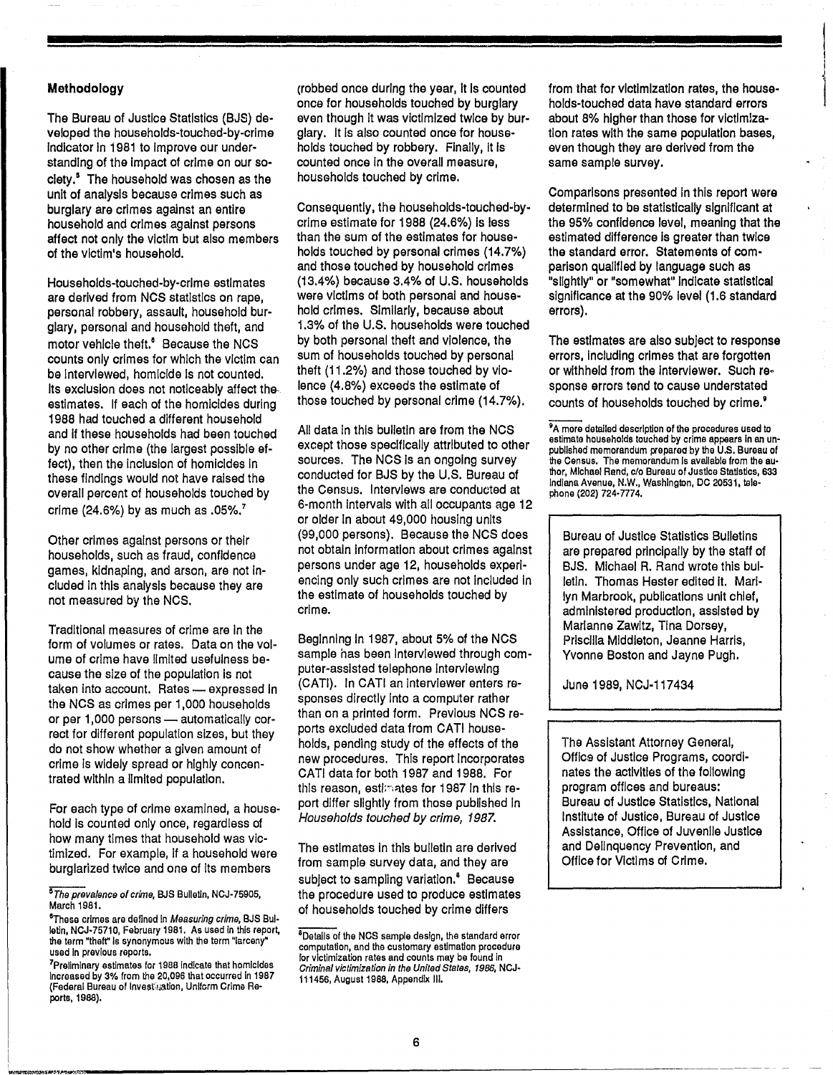#### **Methodology**

The Bureau of Justice Statistics (BJS) developed the households-touched-by-crlme Indicator In 1981 to Improve our understanding of the Impact of crime on our soclety.<sup>5</sup> The household was chosen as the unit of analysis because crimes such as burglary are crimes against an entire household and crlmas against persons affect not only the victim but also members of the victim's household.

Households-touched-by-crlme estimates are derived from NCS statistics on rape, personal robbery, assault, household burglary, personal and household theft, and motor vehicle theft.<sup>6</sup> Because the NCS counts only crimes for which the victim can be Interviewed, homicide is not counted. Its exclusion does not noticeably affect theestimates. If each of the homicides during 1988 had touched a different household and if these households had been touched by no other crime (the largest possible effect), then the Inclusion of homicides In these findings would not have raised the overall percent of households touched by crime (24.6%) by as much as  $.05\%$ .

Other crimes against persons or their households, such as fraud, confidence games, kidnaping, and arson, are not Included In this analysis because they are not measured by the NCS.

Traditional measures of crime are In the form of volumes or rates. Data on the volume of crime have limited usefulness because the size of the population is not taken into account. Rates - expressed in the NCS as crimes per 1,000 households or per 1,000 persons - automatically correct for different population sizes, but they do not show whether a given amount of crime Is widely spread or highly concentrated within a limited population.

For each type of crime examined, a household is counted only once, regardless of how many times that household was victimized. For example, If a household were burglarized twice and one of Its members

(robbed once during the year. It Is counted once for households touched by burglary even though It was victimized twice by burglary. It Is also counted once for households touched by robbery. Finally. It Is counted once In the overall measure. households touched by crime.

Consequently, the households-touched-bycrime estimate for 1988 (24.6%) Is less than the sum of the estimates for households touched by personal crimes (14.7%) and those touched by household crimes (13.4%) because 3.4% of U.S. households were victims of both personal and household crimes. Similarly. because about 1.3% of the U.S. households were touched by both personal theft and violence. the sum of households touched by personal theft (11.2%) and those touched by violence (4.8%) exceeds the estimate of those touched by personal crime (14.7%).

All data In this bulletin are from the NCS except those specifically attributed to other sources. The NCS is an ongoing survey conducted for BJS by the U.S. Bureau of the Census. Interviews are conducted at 6-month Intervals with all occupants age 12 or older In about 49.000 housing units (99.000 persons). Because the NCS does not obtain Information about crimes against persons under age 12. households experiencing only such crimes are not Included In the estimate of households touched by crime.

Beginning In 1987. about 5% of the NCS sample has been Interviewed through computer-assisted telephone Interviewing (CATI). In CATI an Interviewer enters responses directly Into a computer rather than on a printed form. Previous NCS reports excluded data from CATI households. pending study of the effects of the new procedures. This report Incorporates CATI data for both 1987 and 1988. For this reason, estimates for 1987 in this report differ slightly from those published In Households touched by crime, 1987.

The estimates in this bulletin are derived from sample survey data. and they are subject to sampling variation.<sup>8</sup> Because the procedure used to produce estimates of households touched by crime differs

from that for victimization rates. the households-touched data have standard errors about 8% higher than those for victimization rates with the same population bases. even though they are derived from the same sample survey.

Comparisons presented In this report were determined to be statistically significant at the 95% confidence level. meaning that the estimated difference Is greater than twice the standard error. Statements of comparison qualified by language such as "slightly" or "someWhat" Indicate statistical significance at the 90% level (1.6 standard errors).

The estimates are also subject to response errors. Including crimes that are forgotten or withheld from the Interviewer. Such response errors tend to cause understated counts of households touched by crime.<sup>9</sup>

Bureau of Justice Statistics Bulletins are prepared principally by the staff of BJS. Michael R. Rand wrote this bulletin. Thomas Hester edited It. Marilyn Marbrook. publications unit chief. administered production, assisted by Marianne Zawltz. Tina Dorsey, Priscilla Middleton. Jeanne Harris. Yvonne Boston and Jayne Pugh.

June 1989. NCJ-117434

The Assistant Attorney General. Office of Justice Programs, coordinates the activities of the following program offices and bureaus: Bureau of Justice Statistics. National Institute of Justice. Bureau of Justice Assistance. Office of Juvenile Justice and Delinquency Prevention. and Office for Victims of Crime.

<sup>&</sup>lt;sup>5</sup>The prevalence of crime, BJS Bulletin, NCJ-75905, March 1981.

<sup>&</sup>lt;sup>6</sup>These crimes are defined in Measuring crime, BJS Bulletin, NCJ-75710, February 1981. As used in this report, the term "theft" Is synonymous with the term "larceny" used In previous reports.

<sup>7</sup>Prellmlnary estimates for 1988lnd!cate that homicides Increased by 3% from the 20,096 that occurred In 1987 (Federal Bureau of Invest gation, Uniform Crime Reports, 1988).

<sup>&</sup>lt;sup>8</sup>Details of the NCS sample design, the standard error computation, and the customary estimation procedure for victimization rates and counts *may* be found In Criminal victimization in the United States, 1986, NCJ-111456, August 1988, Appendix III.

<sup>&</sup>lt;sup>9</sup>A more detailed description of the procedures used to estimate households touched by crime appears in an unpublished memorandUm prepared by the U.S. Bureau of the Census. The memorandum Is avallable from the author, Michael Rand, c/o Bureau of Justice Statistics, 633 Indiana Avenue, N.W., Washington, DC 20531. talaphone (202) 724-7774.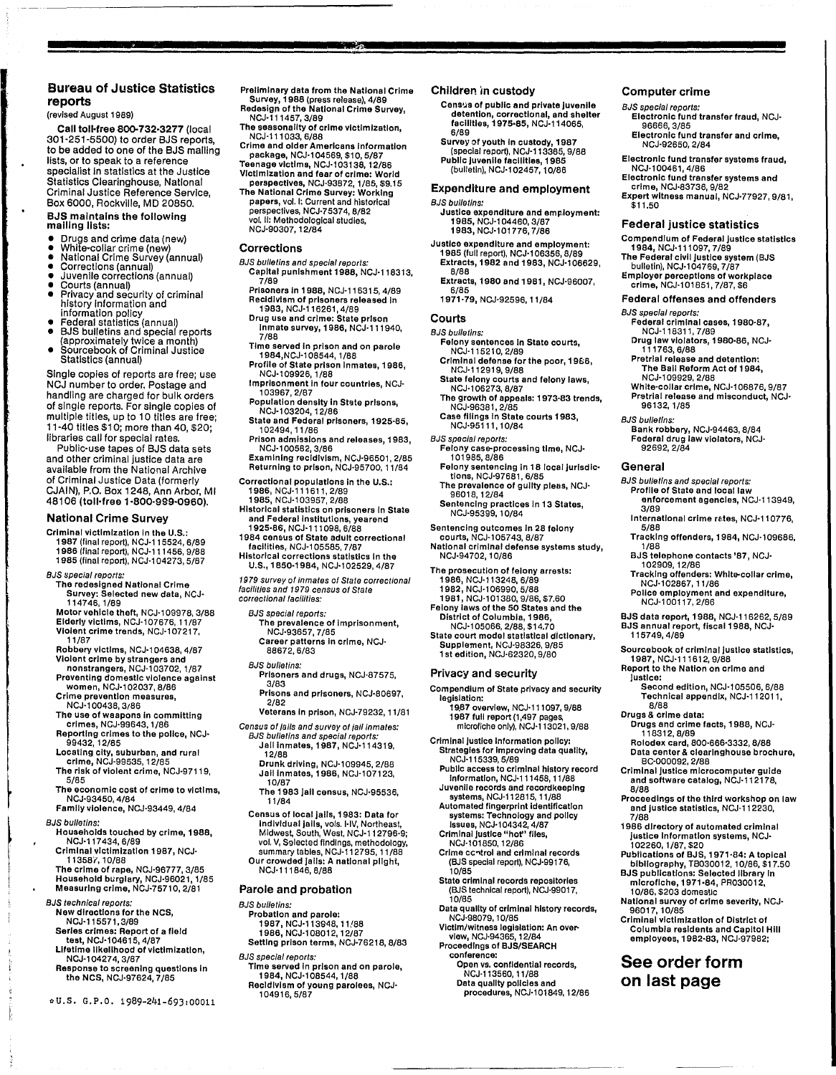#### Bureau of Justice Statistics reports

- 3

#### (revised August 1989)

Call toll-free 800-732-3277 (local 301-251-5500) to order BJS reports, to be added to one of the BJS mailing lists, or to speak to a reference specialist In statistics at the Justice Statistics Clearinghouse, National Criminal Justice Reference Service, Box 6000, Rockville, MD 20850.

### BJS maintains the following mailing lists:

- 
- Drugs and crime data (new)<br>• White-collar crime (new)<br>• National Crime Survey (annual)<br>• Corrections (annual)<br>• Courts (annual)<br>• Courts (annual)<br>• Privacy and security of criminal
- 
- 
- 
- boding (almaal)<br>Privacy and security of criminal<br>history information and information policy<br>Federal statistics (annual)<br>BJS bulletins and special reports
- 
- extending (approximately twice a month) Sourcebook of Criminal Justice
- Statistics (annual)

Single copies of reports are free; use NCJ number to order. Postage and handling are charged for bulk orders of single reports. For single copies of multiple titles, up to 10 titles are free; 11-40 titles \$1 0; more than 40, \$20; libraries call for special rates.

Public-use tapes of BJS data sets and other criminal justice data are available from the National Archive of Criminal Justice Data (formerly CJAIN), P.O. Box 1248, Ann Arbor, MI 48106 (toll-free 1-800-9S9-0960).

#### National Crime Survey

- Criminal victimization In the U.S.: 1987 (final report), NCJ·115524, 6/89 1986 (final report), NCJ'111456, 9/88
- 1985 (final report), NCJ-l 04273, 5/87
- BJS special reporls:
- The redesigned National Crime Survey: Selected new data, NCJ· 114746,1/89
- Motor vehicle theft, NCJ·l09978, 3/88 Elderly victims, NCJ-107676, 11/87 Violent crime trends, NCJ-107217, 11/87
- Robbery victims, NCJ-104638, 4/87 Violent crime by strangers and

nonstrangers, NCJ·1 03702, 1/87 Preventing domestic violence against women, NCJ-102037, 8/86

Crime prevention measures, NCJ'l 00438,3/86

- The use of weapons In committing
- crimes, NCJ·99643, 1/86 Reporting crImes to the pollee, NCJ-99432, 12/85

Locallng city, suburban, and rural crime, NCJ·99535, 12/85 The risk of violent crime, NCJ·97119,

- 5/85 The economic cost of crime to victims,
- NCJ-93450, 4/84 Family violence, NCJ·93449, 4/84

#### BJS bulletins:

I

.

f I

Households touched by crime, 1988, NCJ·117434,6/89 Criminal victimization 1987, NCJ·

11358'1, 10/88 The crime of rape, NCJ'96777, 3/85 Household burglary, NCJ-96021, 1/85<br>Measuring crime, NCJ-75710, 2/81

BJS technical reports: New directions for the NCS, NCJ-115571,3/89

- Series crimes: Report of a field test, NCJ-l04615, 4/87
- Lifetime likelihood of victimization,
- NCJ-l 04274, 3/87 Response to screening questions In the NCS, NCJ'97624, 7/85
- aU.S. G.P.O. 1989-241-693,00011

Preliminary data from the National Crime Survey, 1988 (press release), 4/89 Redesign of the National Crime Survey, NCJ-111457,3/89

**ALC:** 

- The seasonality of crime victimization, NCJ·111 033,6/88
- Crime and older Americans Information package, NCJ·l04569, \$10, 5/87 Teenage victims, NCJ·l03138, 12/86
- Victimization and fear of crime: World perspectives, NCJ-93872, 1/85, \$9.15 The National Crime Survey: Working
- papers, vol. I: Current and historical perspectives, NCJ·75374, 8/82 vol. II: Methodological studies, NCJ-90307, 12/84

#### Corrections

- BJS bullellns and specIal reporls: Capital punishment 1988, NCJ'118313,
	- 7/89 Prisoners In 1988, NCJ-116315, 4/89 Recidivism of prisoners released In
	- 1983, NCJ'116261, 4/89 Drug use and crime: State prison Inmate survey, 1986, NCJ·111940,
	- 7/88 Time served In prison and on parole
	- 1984,NCJ'108544, 1/88 Profile of State prison Inmates, 1986, NCJ'109926,l/88
	- Imprisonment In four countries, NCJ· 103967,2/87
	- Population density in State prisons, NCJ-l03204,12/86
	- State and Federal prisoners, 1925·85, 102494,11/86
	- Prison admissions and releases, 1983, NCJ·l 00582,3/86
	- Examining recidivism, NCJ-96501, 2/85 Returning to prison, NCJ'95700, 11/84
- Correctional populations In the U.S.: 1986, NCJ·111611, 2/89 1985, NCJ·l03957, 2/88
- Historical statistics on prisoners in State and Federal Institutions, yearend<br>1925-86, NCJ-111098, 6/88
- 1984 census of State adult correctional facilities, NCJ·l05585, 7/87 Historical corrections statistics In the
- U.S., 1850-1984, NCJ-102529, 4/87

1979 survey of inmates of Slate correctional facilities and 1979 census of Stale correctional facilities:

- BJS special reports: The prevalence of Imprisonment, NCJ'93657, 7/85 Career patterns In crime, NCJ-
- 88672,6/83
- BJS bulletins:
- Prisoners and drugs, NCJ·87575, 3/83 Prisons and prisoners, NCJ·80697,
- 2/82 Veterans In prison, NCJ·79232, 11/81
- Census of Jails and survey of jail inmates:
- BJS bullellns and special reports: Jail Inmates, 1987, NCJ·114319, 12/88
	- Drunk driVing, NCJ-l09945, 2/88 Jail Inmates, 1986, NCJ·l07123, 10/87
	- The 1983 Jail census, NCJ'95536, 11/84
- Census of local Jails, 1983: Data for Individual Jails, vols. HV, Northeast, Midwest, South, West, NCJ·112796·9; vol. V, S\llecled findings, methodology, summary tables, NCJ·112795, 11/88 Our crowded Jails: A national plight,
- NCJ·111846,8/88

#### Parole and probation

- BJS bulletins: robation and parole:
- 1987, NCJ-113948, 11,'88 1986, NCJ-l 08012,12/87 Setting prison terms, NCJ-76218, 8/83
- BJS special reports:
	- Time served In prison and on parole, 1984, NCJ·l08544, 1/88
- Recidivism of young parolees, NCJ-104916,5/87

#### Children in custody

Census of public and private Juvenile detention, correctional, and shelter facilities, 1 975-65, NCJ-114065, 6/89

Computer crime BJS special reporls:

96666,3/85

\$11.50

BJS specIal reports:

96132,1/85 BJS bulletins:

92692,2/84

General

3/89

5/88

1/88

115749,4/89

8/88 Drugs & crime data:

BC-000092, 2/88

Justice:

8/88

7/88

96017,10/85

NCJ·92650, 2/84

Electronic fund transfer fraud, NCJ-

Electronic fund transfer and crime,

Electronic fund transfer systems fraud, NCJ-l00461,4/86 Electronic fund transfer systems and crime, NCJ'83736, 9/82 Expert witness manual, NCJ·77927, 9/81,

Federal justice statistics Compendium of Federal Justice statistics 1984, NCJ'111097, 7/89 The Federal civil Justice system (BJS bulletin), NCJ·l04769, 7/87 Employer perceptions of workplace crime, NCJ·l01851, 7/87, \$6 Federal offenses and offenders

Federal criminal cases, 1980·87, NCJ·118311,7/89

Drug law violators, 1 gaO·86, NCJ-111763,6/88 Pretrial release and detention: The Ball Reform Act of 1984, NCJ-l 09929,2/88 White-collar crime, NCJ·1 06876, 9/87 Pratrlal release and misconduct, NCJ·

Bank robbery, NCJ-94463, 8/84 Federal drug law Violators, NCJ·

BJS bulletins and special reporls:

Profile of State and local law enforcement agencies, NCJ·113949,

International crime rates, NCJ-110776,

Tracking offenders, 1984, NCJ·l09686,

Police employment and expenditure, NCJ-l 00117,2/86 BJS data report, 1988, NCJ·116262, 5/89 BJS annual report, fiscal 1988, NCJ-

Sourcebook of criminal justice statistics,<br>1987, NCJ-111612, 9/88 Report to the Nation on crime and

> Second edition, NCJ-1 05506,6/88 Technical appendix, NCJ'112011,

Drugs and crime facts, 1988, NCJ-118312,8/89 Rolodex card, 800'666-3332, 8/88 Data center& clearinghouse brochure,

Criminal Justice microcomputer guide and software catalog, NCJ·112178,

1986 directory of automated criminal Justice Information systems, NCJ· 102260, 1/87, \$20 Publications of BJS, 1971'84: A topical bibliography, TB030012, 10/86, \$17.50 BJS publications: Selected library In microfiche, 1971-84, PR030012, 10/86, \$203 domestiC

National survey of crime severity, NCJ-

Criminal victimization of District of Columbia residents and Capitol Hili employees, 1982·83, NCJ-97982;

**See order form on last page** 

Proceedings of the third workshop on law and Justice statistics, NCJ·112230,

BJS telephone contacts '87, NCJ· 102909, 12/86 Tracking offenders: White-collar crime,

NCJ-102867, 11/86

Survay of youth In custody, 1 987 (special report), NCJ-113365, 9/88 Public Juvenile facilities, 1985 (bullelin), NCJ·l 02457, 10/86

#### Expenditure and employment BJS bulletins:

- Justice expenditure and employment: 1 985, NCJ-l 04460,3/87 1983, NCJ'101776, 7/86
- Justice expenditure and employment: 1985 (full report), NCJ·l 06356, 8/89 Extracts, 1982 and 1983, NCJ-l06629, 8/88
- Extracts, 1980 and 1981, NCJ'96007, 6/85 1971-79, NCJ-92596, 11/84

#### Courts

- BJS bulletins:
- Felony sentences in State courts,<br>| NCJ-115210, 2/89<br>Criminal defense for the poor, 19&6, NCJ·112919,9/88
- State felony courts and felony laws, NCJ·l 06273,8/87
- The growth of appeals: 1973·83 trends, NCJ-96381, 2/85
- Case filings In State courts 1983, NCJ·95111, 10/84

#### BJS special reports:

- Felony case-processing time, NCJ· 101985,8/86
- Felony sentencing In 18 local jurlsdlc· tlons, NCJ'97681, 6/85 The prevalence of guilty pleas, NCJ·
- 96018, 12/84 SentenCing practices In 13 States, NCJ-95399, 10/84
- Sentencing outcomes In 28 falony
- courts, NCJ-l05743, 8/87
- National criminal defense systems study, NCJ·94702, 10/86
- The prosecution of felony arrests:
- 1986, NCJ·113248, 6/89 1982, NC.I·l 06990,5/88 1981, NCJ·l 01380,9/86, \$7.60
- Felony laws of the 50 States and the District of Columbia, 1986, NCJ·l 05066,2/88, \$14.70
- State court model statistical dictionary, Supplement, NCJ'98326, 9/85 1 st edition, NCJ'62320, 9/80

Compendium at State privacy and security

19.87 overview, NCJ·lll097, 9/88 1987 full report (1,497 pages, microfiche only), NCJ'113021, 9/88

Criminal justice Information policy: Strategies for Improving data quality, NCJ-115339, 5/89 Public access to criminal history record Information, NCJ·111458, 11/88 Juvenile records and record keeping systems, NCJ-112815, 11/88 Automated fingerprint Identification systems: Technology and policy Issues, NCJ·l 04342, 4/87 Criminal Justice "hot" flies, NCJ·l01850,12/86

Crime ccntrol and criminal records<br>(BJS special report), NCJ-99176,

State criminal records repositories (BJS technical report), NCJ'99017,

Victim/witness legislation: An over-view, NCJ·94365, 12/84 Procoedlngs of BJS/SEARCH conference:

Data quality of criminal history records,

Open vs. confidential records, NCJ·113560, 11/88 Data quality policies and procedures, NCJ·101849,12/86

#### Privacy and security

legislation:

10/85

10/85

NCJ·98079, 10/85